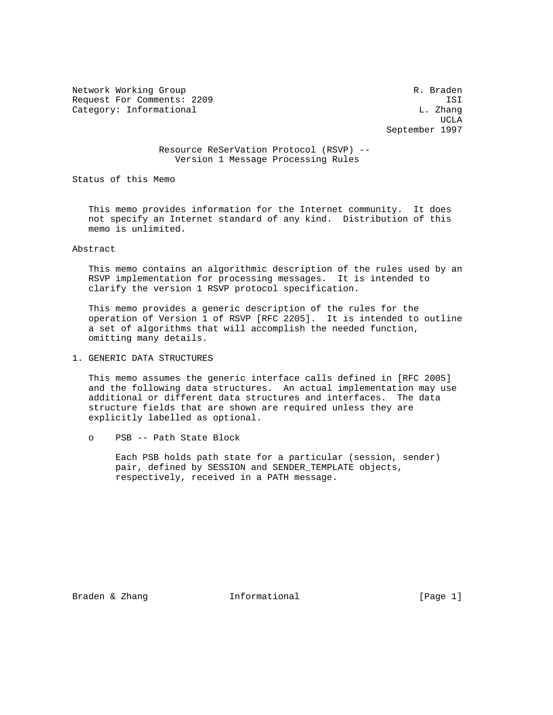Network Working Group and the set of the set of the set of the R. Braden Request For Comments: 2209 ISI Category: Informational and L. Zhang

UCLA AND LOCAL CONTRACT CONTRACT OF THE SECOND SECOND SECOND SECOND SECOND SECOND SECOND SECOND SECOND SECOND SECOND SECOND SECOND SECOND SECOND SECOND SECOND SECOND SECOND SECOND SECOND SECOND SECOND SECOND SECOND SECOND September 1997

# Resource ReSerVation Protocol (RSVP) -- Version 1 Message Processing Rules

Status of this Memo

 This memo provides information for the Internet community. It does not specify an Internet standard of any kind. Distribution of this memo is unlimited.

## Abstract

 This memo contains an algorithmic description of the rules used by an RSVP implementation for processing messages. It is intended to clarify the version 1 RSVP protocol specification.

 This memo provides a generic description of the rules for the operation of Version 1 of RSVP [RFC 2205]. It is intended to outline a set of algorithms that will accomplish the needed function, omitting many details.

## 1. GENERIC DATA STRUCTURES

 This memo assumes the generic interface calls defined in [RFC 2005] and the following data structures. An actual implementation may use additional or different data structures and interfaces. The data structure fields that are shown are required unless they are explicitly labelled as optional.

o PSB -- Path State Block

 Each PSB holds path state for a particular (session, sender) pair, defined by SESSION and SENDER\_TEMPLATE objects, respectively, received in a PATH message.

Braden & Zhang  $I_n$  Informational [Page 1]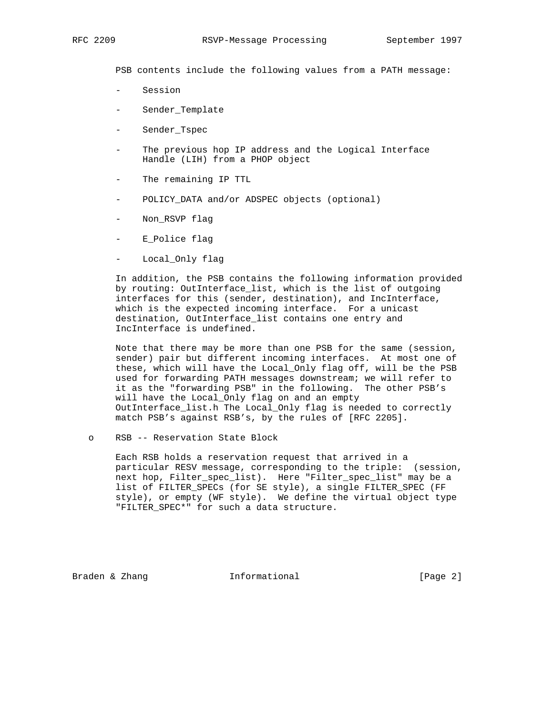PSB contents include the following values from a PATH message:

- Session
- Sender\_Template
- Sender\_Tspec
- The previous hop IP address and the Logical Interface Handle (LIH) from a PHOP object
- The remaining IP TTL
- POLICY\_DATA and/or ADSPEC objects (optional)
- Non\_RSVP flag
- E\_Police flag
- Local\_Only flag

 In addition, the PSB contains the following information provided by routing: OutInterface\_list, which is the list of outgoing interfaces for this (sender, destination), and IncInterface, which is the expected incoming interface. For a unicast destination, OutInterface\_list contains one entry and IncInterface is undefined.

 Note that there may be more than one PSB for the same (session, sender) pair but different incoming interfaces. At most one of these, which will have the Local\_Only flag off, will be the PSB used for forwarding PATH messages downstream; we will refer to it as the "forwarding PSB" in the following. The other PSB's will have the Local\_Only flag on and an empty OutInterface\_list.h The Local\_Only flag is needed to correctly match PSB's against RSB's, by the rules of [RFC 2205].

o RSB -- Reservation State Block

 Each RSB holds a reservation request that arrived in a particular RESV message, corresponding to the triple: (session, next hop, Filter\_spec\_list). Here "Filter\_spec\_list" may be a list of FILTER\_SPECs (for SE style), a single FILTER\_SPEC (FF style), or empty (WF style). We define the virtual object type "FILTER\_SPEC\*" for such a data structure.

Braden & Zhang **Informational Informational** [Page 2]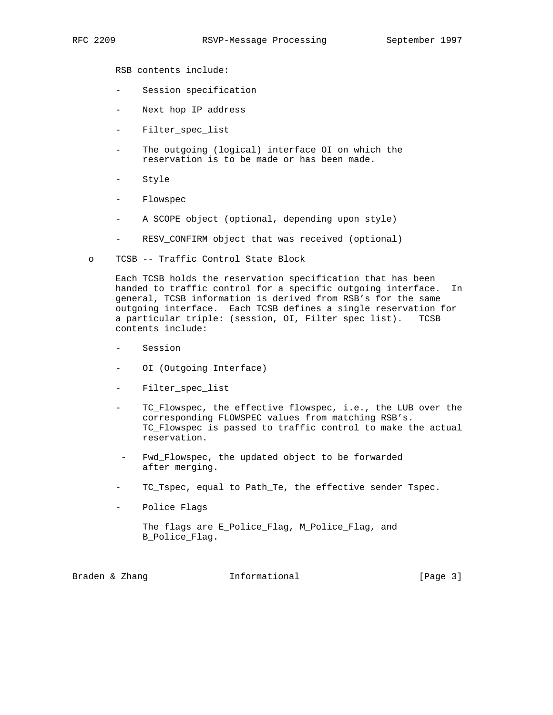RSB contents include:

- Session specification
- Next hop IP address
- Filter\_spec\_list
- The outgoing (logical) interface OI on which the reservation is to be made or has been made.
- Style
- Flowspec
- A SCOPE object (optional, depending upon style)
- RESV\_CONFIRM object that was received (optional)
- o TCSB -- Traffic Control State Block

 Each TCSB holds the reservation specification that has been handed to traffic control for a specific outgoing interface. In general, TCSB information is derived from RSB's for the same outgoing interface. Each TCSB defines a single reservation for a particular triple: (session, OI, Filter\_spec\_list). TCSB contents include:

- Session
- OI (Outgoing Interface)
- Filter\_spec\_list
- TC\_Flowspec, the effective flowspec, i.e., the LUB over the corresponding FLOWSPEC values from matching RSB's. TC\_Flowspec is passed to traffic control to make the actual reservation.
- Fwd\_Flowspec, the updated object to be forwarded after merging.
- TC\_Tspec, equal to Path\_Te, the effective sender Tspec.
- Police Flags

```
 The flags are E_Police_Flag, M_Police_Flag, and
B_Police_Flag.
```

| Braden & Zhang |  |  | Informational | [Page $3$ ] |  |  |
|----------------|--|--|---------------|-------------|--|--|
|----------------|--|--|---------------|-------------|--|--|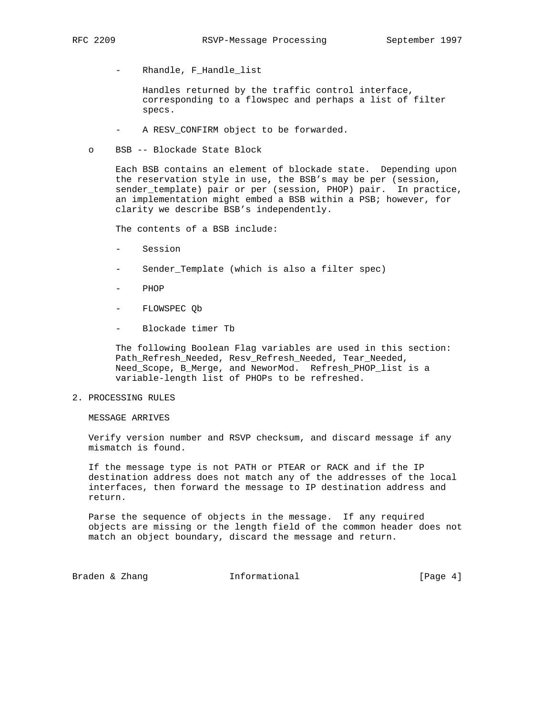- Rhandle, F\_Handle\_list

 Handles returned by the traffic control interface, corresponding to a flowspec and perhaps a list of filter specs.

- A RESV\_CONFIRM object to be forwarded.
- o BSB -- Blockade State Block

 Each BSB contains an element of blockade state. Depending upon the reservation style in use, the BSB's may be per (session, sender\_template) pair or per (session, PHOP) pair. In practice, an implementation might embed a BSB within a PSB; however, for clarity we describe BSB's independently.

The contents of a BSB include:

- Session
- Sender\_Template (which is also a filter spec)
- PHOP
- FLOWSPEC Qb
- Blockade timer Tb

 The following Boolean Flag variables are used in this section: Path\_Refresh\_Needed, Resv\_Refresh\_Needed, Tear\_Needed, Need\_Scope, B\_Merge, and NeworMod. Refresh\_PHOP\_list is a variable-length list of PHOPs to be refreshed.

## 2. PROCESSING RULES

MESSAGE ARRIVES

 Verify version number and RSVP checksum, and discard message if any mismatch is found.

 If the message type is not PATH or PTEAR or RACK and if the IP destination address does not match any of the addresses of the local interfaces, then forward the message to IP destination address and return.

 Parse the sequence of objects in the message. If any required objects are missing or the length field of the common header does not match an object boundary, discard the message and return.

Braden & Zhang **Informational Informational** [Page 4]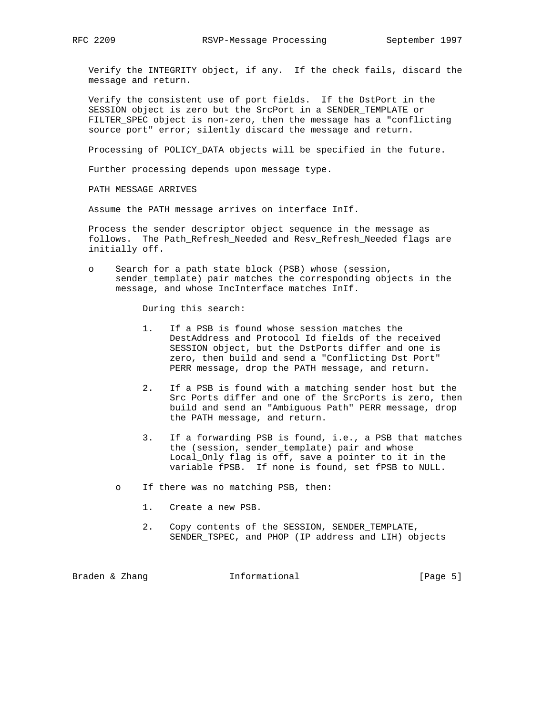Verify the INTEGRITY object, if any. If the check fails, discard the message and return.

 Verify the consistent use of port fields. If the DstPort in the SESSION object is zero but the SrcPort in a SENDER\_TEMPLATE or FILTER\_SPEC object is non-zero, then the message has a "conflicting source port" error; silently discard the message and return.

Processing of POLICY\_DATA objects will be specified in the future.

Further processing depends upon message type.

PATH MESSAGE ARRIVES

Assume the PATH message arrives on interface InIf.

 Process the sender descriptor object sequence in the message as follows. The Path\_Refresh\_Needed and Resv\_Refresh\_Needed flags are initially off.

 o Search for a path state block (PSB) whose (session, sender\_template) pair matches the corresponding objects in the message, and whose IncInterface matches InIf.

During this search:

- 1. If a PSB is found whose session matches the DestAddress and Protocol Id fields of the received SESSION object, but the DstPorts differ and one is zero, then build and send a "Conflicting Dst Port" PERR message, drop the PATH message, and return.
- 2. If a PSB is found with a matching sender host but the Src Ports differ and one of the SrcPorts is zero, then build and send an "Ambiguous Path" PERR message, drop the PATH message, and return.
- 3. If a forwarding PSB is found, i.e., a PSB that matches the (session, sender\_template) pair and whose Local\_Only flag is off, save a pointer to it in the variable fPSB. If none is found, set fPSB to NULL.
- o If there was no matching PSB, then:
	- 1. Create a new PSB.
	- 2. Copy contents of the SESSION, SENDER\_TEMPLATE, SENDER\_TSPEC, and PHOP (IP address and LIH) objects

Braden & Zhang **Informational Informational** [Page 5]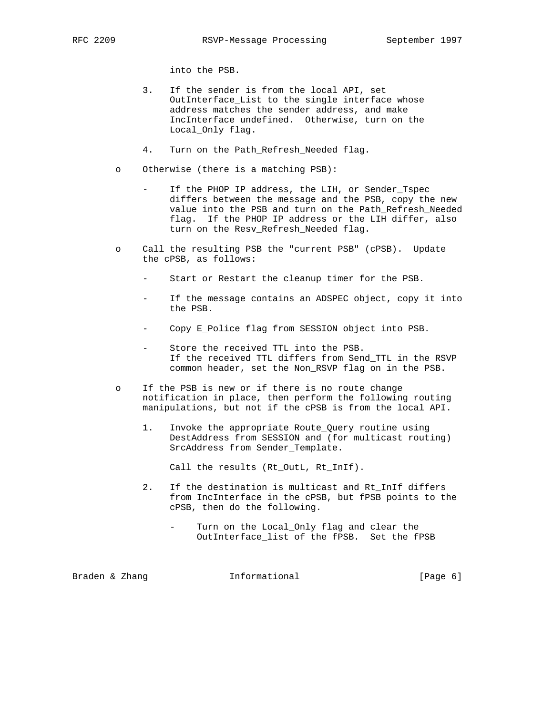into the PSB.

- 3. If the sender is from the local API, set OutInterface\_List to the single interface whose address matches the sender address, and make IncInterface undefined. Otherwise, turn on the Local\_Only flag.
- 4. Turn on the Path\_Refresh\_Needed flag.
- o Otherwise (there is a matching PSB):
	- If the PHOP IP address, the LIH, or Sender\_Tspec differs between the message and the PSB, copy the new value into the PSB and turn on the Path\_Refresh\_Needed flag. If the PHOP IP address or the LIH differ, also turn on the Resv\_Refresh\_Needed flag.
- o Call the resulting PSB the "current PSB" (cPSB). Update the cPSB, as follows:
	- Start or Restart the cleanup timer for the PSB.
	- If the message contains an ADSPEC object, copy it into the PSB.
	- Copy E\_Police flag from SESSION object into PSB.
	- Store the received TTL into the PSB. If the received TTL differs from Send\_TTL in the RSVP common header, set the Non\_RSVP flag on in the PSB.
- o If the PSB is new or if there is no route change notification in place, then perform the following routing manipulations, but not if the cPSB is from the local API.
	- 1. Invoke the appropriate Route\_Query routine using DestAddress from SESSION and (for multicast routing) SrcAddress from Sender\_Template.

Call the results (Rt\_OutL, Rt\_InIf).

- 2. If the destination is multicast and Rt\_InIf differs from IncInterface in the cPSB, but fPSB points to the cPSB, then do the following.
	- Turn on the Local\_Only flag and clear the OutInterface\_list of the fPSB. Set the fPSB

Braden & Zhang **Informational Informational** [Page 6]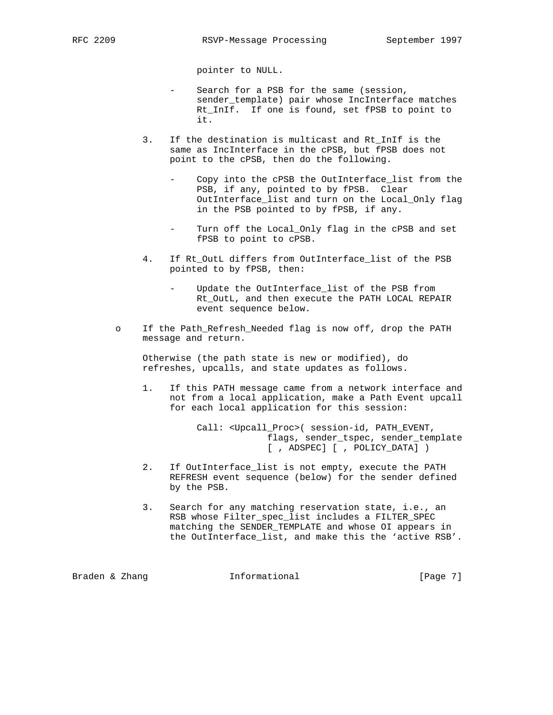pointer to NULL.

- Search for a PSB for the same (session, sender template) pair whose IncInterface matches Rt\_InIf. If one is found, set fPSB to point to it.
- 3. If the destination is multicast and Rt\_InIf is the same as IncInterface in the cPSB, but fPSB does not point to the cPSB, then do the following.
	- Copy into the cPSB the OutInterface\_list from the PSB, if any, pointed to by fPSB. Clear OutInterface\_list and turn on the Local\_Only flag in the PSB pointed to by fPSB, if any.
	- Turn off the Local\_Only flag in the cPSB and set fPSB to point to cPSB.
- 4. If Rt\_OutL differs from OutInterface\_list of the PSB pointed to by fPSB, then:
	- Update the OutInterface\_list of the PSB from Rt\_OutL, and then execute the PATH LOCAL REPAIR event sequence below.
- o If the Path\_Refresh\_Needed flag is now off, drop the PATH message and return.

 Otherwise (the path state is new or modified), do refreshes, upcalls, and state updates as follows.

 1. If this PATH message came from a network interface and not from a local application, make a Path Event upcall for each local application for this session:

> Call: <Upcall\_Proc>( session-id, PATH\_EVENT, flags, sender\_tspec, sender\_template [ , ADSPEC] [ , POLICY\_DATA] )

- 2. If OutInterface\_list is not empty, execute the PATH REFRESH event sequence (below) for the sender defined by the PSB.
- 3. Search for any matching reservation state, i.e., an RSB whose Filter\_spec\_list includes a FILTER\_SPEC matching the SENDER\_TEMPLATE and whose OI appears in the OutInterface\_list, and make this the 'active RSB'.

Braden & Zhang **Informational Informational** [Page 7]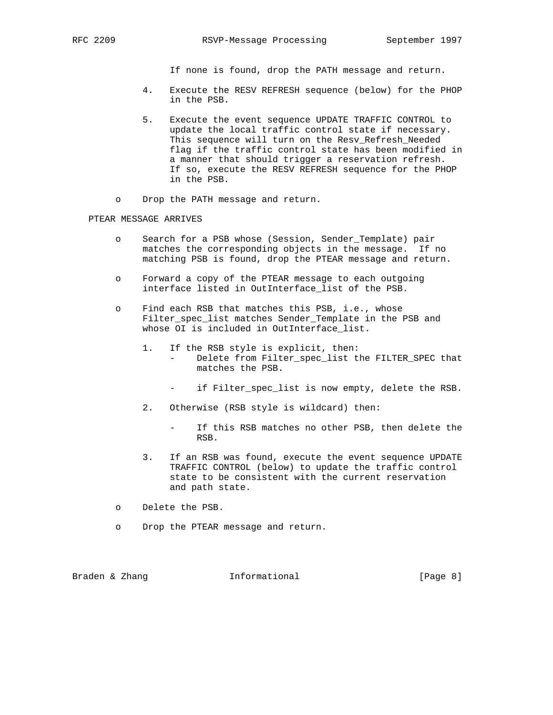If none is found, drop the PATH message and return.

- 4. Execute the RESV REFRESH sequence (below) for the PHOP in the PSB.
- 5. Execute the event sequence UPDATE TRAFFIC CONTROL to update the local traffic control state if necessary. This sequence will turn on the Resv\_Refresh\_Needed flag if the traffic control state has been modified in a manner that should trigger a reservation refresh. If so, execute the RESV REFRESH sequence for the PHOP in the PSB.
- o Drop the PATH message and return.

### PTEAR MESSAGE ARRIVES

- o Search for a PSB whose (Session, Sender\_Template) pair matches the corresponding objects in the message. If no matching PSB is found, drop the PTEAR message and return.
- o Forward a copy of the PTEAR message to each outgoing interface listed in OutInterface\_list of the PSB.
- o Find each RSB that matches this PSB, i.e., whose Filter\_spec\_list matches Sender\_Template in the PSB and whose OI is included in OutInterface\_list.
	- 1. If the RSB style is explicit, then: - Delete from Filter\_spec\_list the FILTER\_SPEC that matches the PSB.
		- if Filter\_spec\_list is now empty, delete the RSB.
	- 2. Otherwise (RSB style is wildcard) then:
		- If this RSB matches no other PSB, then delete the RSB.
	- 3. If an RSB was found, execute the event sequence UPDATE TRAFFIC CONTROL (below) to update the traffic control state to be consistent with the current reservation and path state.
- o Delete the PSB.
- o Drop the PTEAR message and return.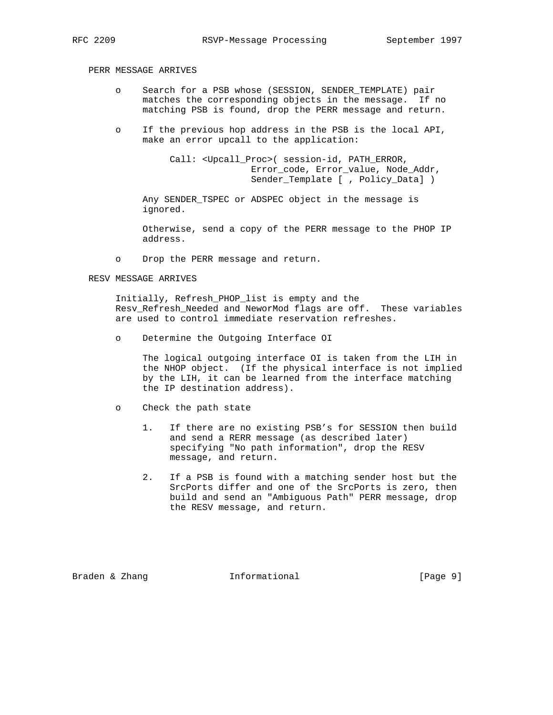# PERR MESSAGE ARRIVES

- o Search for a PSB whose (SESSION, SENDER\_TEMPLATE) pair matches the corresponding objects in the message. If no matching PSB is found, drop the PERR message and return.
- o If the previous hop address in the PSB is the local API, make an error upcall to the application:

Call: <Upcall Proc>( session-id, PATH ERROR, Error\_code, Error\_value, Node\_Addr, Sender\_Template [ , Policy\_Data] )

 Any SENDER\_TSPEC or ADSPEC object in the message is ignored.

 Otherwise, send a copy of the PERR message to the PHOP IP address.

o Drop the PERR message and return.

#### RESV MESSAGE ARRIVES

 Initially, Refresh\_PHOP\_list is empty and the Resv\_Refresh\_Needed and NeworMod flags are off. These variables are used to control immediate reservation refreshes.

o Determine the Outgoing Interface OI

 The logical outgoing interface OI is taken from the LIH in the NHOP object. (If the physical interface is not implied by the LIH, it can be learned from the interface matching the IP destination address).

- o Check the path state
	- 1. If there are no existing PSB's for SESSION then build and send a RERR message (as described later) specifying "No path information", drop the RESV message, and return.
	- 2. If a PSB is found with a matching sender host but the SrcPorts differ and one of the SrcPorts is zero, then build and send an "Ambiguous Path" PERR message, drop the RESV message, and return.

Braden & Zhang **Informational Informational** [Page 9]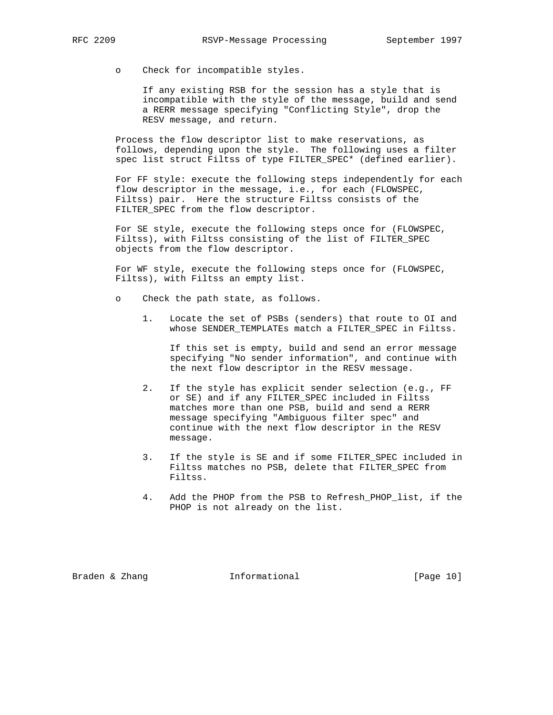o Check for incompatible styles.

 If any existing RSB for the session has a style that is incompatible with the style of the message, build and send a RERR message specifying "Conflicting Style", drop the RESV message, and return.

 Process the flow descriptor list to make reservations, as follows, depending upon the style. The following uses a filter spec list struct Filtss of type FILTER\_SPEC\* (defined earlier).

 For FF style: execute the following steps independently for each flow descriptor in the message, i.e., for each (FLOWSPEC, Filtss) pair. Here the structure Filtss consists of the FILTER\_SPEC from the flow descriptor.

 For SE style, execute the following steps once for (FLOWSPEC, Filtss), with Filtss consisting of the list of FILTER\_SPEC objects from the flow descriptor.

 For WF style, execute the following steps once for (FLOWSPEC, Filtss), with Filtss an empty list.

- o Check the path state, as follows.
	- 1. Locate the set of PSBs (senders) that route to OI and whose SENDER\_TEMPLATEs match a FILTER\_SPEC in Filtss.

 If this set is empty, build and send an error message specifying "No sender information", and continue with the next flow descriptor in the RESV message.

- 2. If the style has explicit sender selection (e.g., FF or SE) and if any FILTER\_SPEC included in Filtss matches more than one PSB, build and send a RERR message specifying "Ambiguous filter spec" and continue with the next flow descriptor in the RESV message.
- 3. If the style is SE and if some FILTER\_SPEC included in Filtss matches no PSB, delete that FILTER\_SPEC from Filtss.
- 4. Add the PHOP from the PSB to Refresh\_PHOP\_list, if the PHOP is not already on the list.

Braden & Zhang **Informational** [Page 10]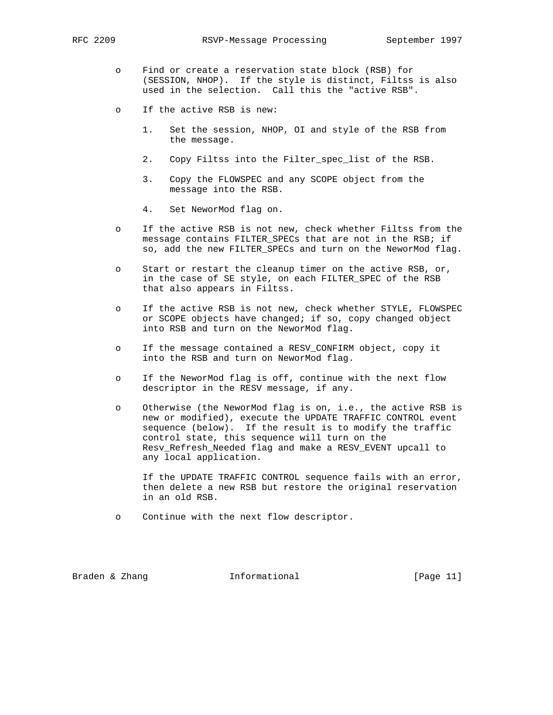- o Find or create a reservation state block (RSB) for (SESSION, NHOP). If the style is distinct, Filtss is also used in the selection. Call this the "active RSB".
- o If the active RSB is new:
	- 1. Set the session, NHOP, OI and style of the RSB from the message.
	- 2. Copy Filtss into the Filter\_spec\_list of the RSB.
	- 3. Copy the FLOWSPEC and any SCOPE object from the message into the RSB.
	- 4. Set NeworMod flag on.
- o If the active RSB is not new, check whether Filtss from the message contains FILTER\_SPECs that are not in the RSB; if so, add the new FILTER\_SPECs and turn on the NeworMod flag.
- o Start or restart the cleanup timer on the active RSB, or, in the case of SE style, on each FILTER\_SPEC of the RSB that also appears in Filtss.
- o If the active RSB is not new, check whether STYLE, FLOWSPEC or SCOPE objects have changed; if so, copy changed object into RSB and turn on the NeworMod flag.
- o If the message contained a RESV\_CONFIRM object, copy it into the RSB and turn on NeworMod flag.
- o If the NeworMod flag is off, continue with the next flow descriptor in the RESV message, if any.
- o Otherwise (the NeworMod flag is on, i.e., the active RSB is new or modified), execute the UPDATE TRAFFIC CONTROL event sequence (below). If the result is to modify the traffic control state, this sequence will turn on the Resv\_Refresh\_Needed flag and make a RESV\_EVENT upcall to any local application.

 If the UPDATE TRAFFIC CONTROL sequence fails with an error, then delete a new RSB but restore the original reservation in an old RSB.

o Continue with the next flow descriptor.

Braden & Zhang **Informational** [Page 11]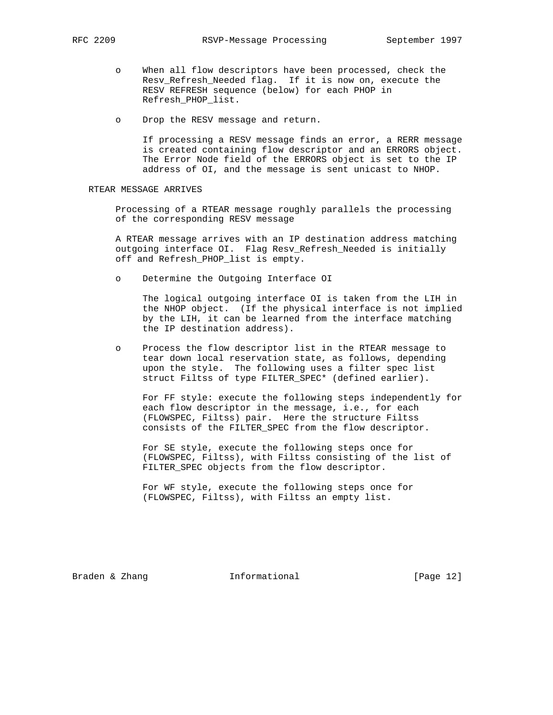- o When all flow descriptors have been processed, check the Resv\_Refresh\_Needed flag. If it is now on, execute the RESV REFRESH sequence (below) for each PHOP in Refresh\_PHOP\_list.
- o Drop the RESV message and return.

 If processing a RESV message finds an error, a RERR message is created containing flow descriptor and an ERRORS object. The Error Node field of the ERRORS object is set to the IP address of OI, and the message is sent unicast to NHOP.

## RTEAR MESSAGE ARRIVES

 Processing of a RTEAR message roughly parallels the processing of the corresponding RESV message

 A RTEAR message arrives with an IP destination address matching outgoing interface OI. Flag Resv\_Refresh\_Needed is initially off and Refresh\_PHOP\_list is empty.

o Determine the Outgoing Interface OI

 The logical outgoing interface OI is taken from the LIH in the NHOP object. (If the physical interface is not implied by the LIH, it can be learned from the interface matching the IP destination address).

 o Process the flow descriptor list in the RTEAR message to tear down local reservation state, as follows, depending upon the style. The following uses a filter spec list struct Filtss of type FILTER\_SPEC\* (defined earlier).

 For FF style: execute the following steps independently for each flow descriptor in the message, i.e., for each (FLOWSPEC, Filtss) pair. Here the structure Filtss consists of the FILTER\_SPEC from the flow descriptor.

 For SE style, execute the following steps once for (FLOWSPEC, Filtss), with Filtss consisting of the list of FILTER\_SPEC objects from the flow descriptor.

 For WF style, execute the following steps once for (FLOWSPEC, Filtss), with Filtss an empty list.

Braden & Zhang **Informational** [Page 12]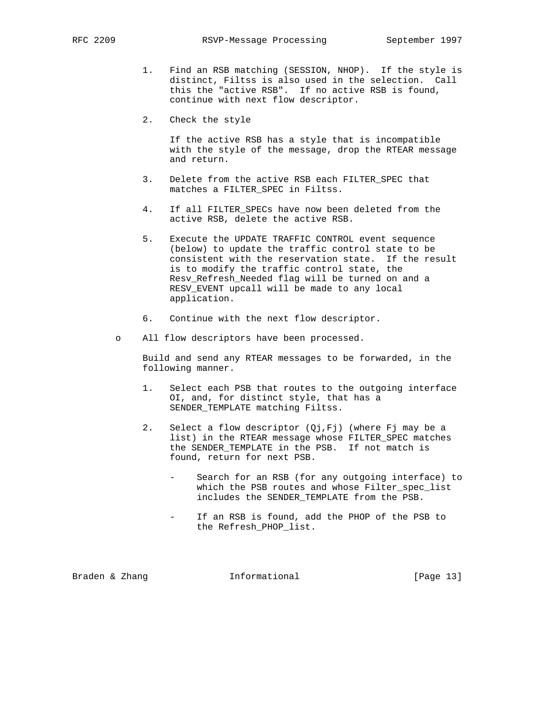- 1. Find an RSB matching (SESSION, NHOP). If the style is distinct, Filtss is also used in the selection. Call this the "active RSB". If no active RSB is found, continue with next flow descriptor.
- 2. Check the style

 If the active RSB has a style that is incompatible with the style of the message, drop the RTEAR message and return.

- 3. Delete from the active RSB each FILTER\_SPEC that matches a FILTER\_SPEC in Filtss.
- 4. If all FILTER\_SPECs have now been deleted from the active RSB, delete the active RSB.
- 5. Execute the UPDATE TRAFFIC CONTROL event sequence (below) to update the traffic control state to be consistent with the reservation state. If the result is to modify the traffic control state, the Resv\_Refresh\_Needed flag will be turned on and a RESV\_EVENT upcall will be made to any local application.
- 6. Continue with the next flow descriptor.
- o All flow descriptors have been processed.

 Build and send any RTEAR messages to be forwarded, in the following manner.

- 1. Select each PSB that routes to the outgoing interface OI, and, for distinct style, that has a SENDER\_TEMPLATE matching Filtss.
- 2. Select a flow descriptor (Qj,Fj) (where Fj may be a list) in the RTEAR message whose FILTER\_SPEC matches the SENDER\_TEMPLATE in the PSB. If not match is found, return for next PSB.
	- Search for an RSB (for any outgoing interface) to which the PSB routes and whose Filter\_spec\_list includes the SENDER\_TEMPLATE from the PSB.
	- If an RSB is found, add the PHOP of the PSB to the Refresh\_PHOP\_list.

Braden & Zhang **Informational** [Page 13]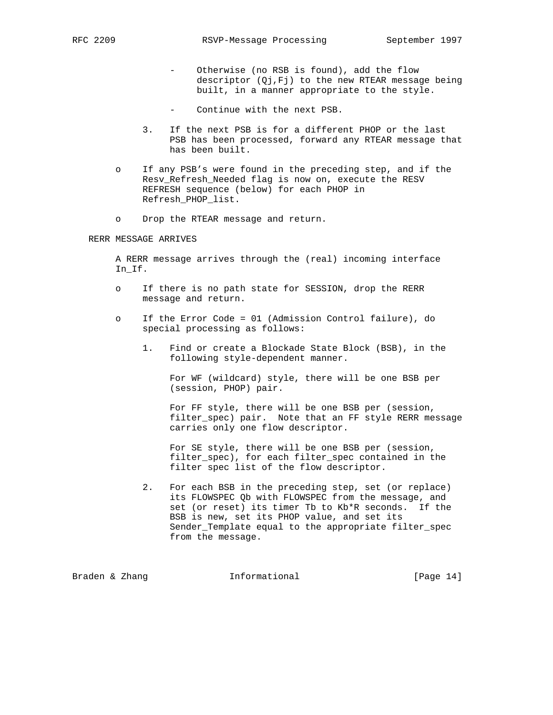- Otherwise (no RSB is found), add the flow descriptor (Qj,Fj) to the new RTEAR message being built, in a manner appropriate to the style.
- Continue with the next PSB.
- 3. If the next PSB is for a different PHOP or the last PSB has been processed, forward any RTEAR message that has been built.
- o If any PSB's were found in the preceding step, and if the Resv\_Refresh\_Needed flag is now on, execute the RESV REFRESH sequence (below) for each PHOP in Refresh\_PHOP\_list.
- o Drop the RTEAR message and return.

RERR MESSAGE ARRIVES

 A RERR message arrives through the (real) incoming interface In\_If.

- o If there is no path state for SESSION, drop the RERR message and return.
- o If the Error Code = 01 (Admission Control failure), do special processing as follows:
	- 1. Find or create a Blockade State Block (BSB), in the following style-dependent manner.

 For WF (wildcard) style, there will be one BSB per (session, PHOP) pair.

 For FF style, there will be one BSB per (session, filter\_spec) pair. Note that an FF style RERR message carries only one flow descriptor.

 For SE style, there will be one BSB per (session, filter spec), for each filter spec contained in the filter spec list of the flow descriptor.

 2. For each BSB in the preceding step, set (or replace) its FLOWSPEC Qb with FLOWSPEC from the message, and set (or reset) its timer Tb to Kb\*R seconds. If the BSB is new, set its PHOP value, and set its Sender\_Template equal to the appropriate filter\_spec from the message.

Braden & Zhang **Informational** [Page 14]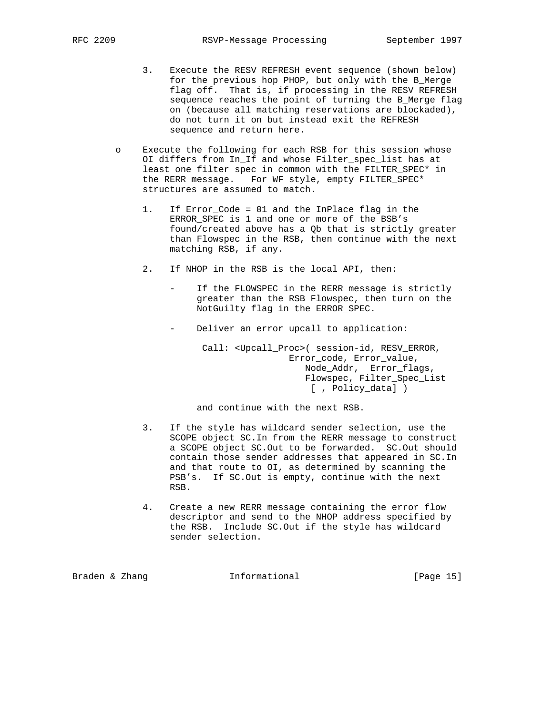- 3. Execute the RESV REFRESH event sequence (shown below) for the previous hop PHOP, but only with the B\_Merge flag off. That is, if processing in the RESV REFRESH sequence reaches the point of turning the B\_Merge flag on (because all matching reservations are blockaded), do not turn it on but instead exit the REFRESH sequence and return here.
- o Execute the following for each RSB for this session whose OI differs from In If and whose Filter spec list has at least one filter spec in common with the FILTER\_SPEC\* in the RERR message. For WF style, empty FILTER\_SPEC\* structures are assumed to match.
	- 1. If Error\_Code = 01 and the InPlace flag in the ERROR\_SPEC is 1 and one or more of the BSB's found/created above has a Qb that is strictly greater than Flowspec in the RSB, then continue with the next matching RSB, if any.
	- 2. If NHOP in the RSB is the local API, then:
		- If the FLOWSPEC in the RERR message is strictly greater than the RSB Flowspec, then turn on the NotGuilty flag in the ERROR\_SPEC.
		- Deliver an error upcall to application:

 Call: <Upcall\_Proc>( session-id, RESV\_ERROR, Error\_code, Error\_value, Node\_Addr, Error\_flags, Flowspec, Filter\_Spec\_List [ , Policy\_data] )

and continue with the next RSB.

- 3. If the style has wildcard sender selection, use the SCOPE object SC.In from the RERR message to construct a SCOPE object SC.Out to be forwarded. SC.Out should contain those sender addresses that appeared in SC.In and that route to OI, as determined by scanning the PSB's. If SC.Out is empty, continue with the next RSB.
- 4. Create a new RERR message containing the error flow descriptor and send to the NHOP address specified by the RSB. Include SC.Out if the style has wildcard sender selection.

Braden & Zhang **Informational** [Page 15]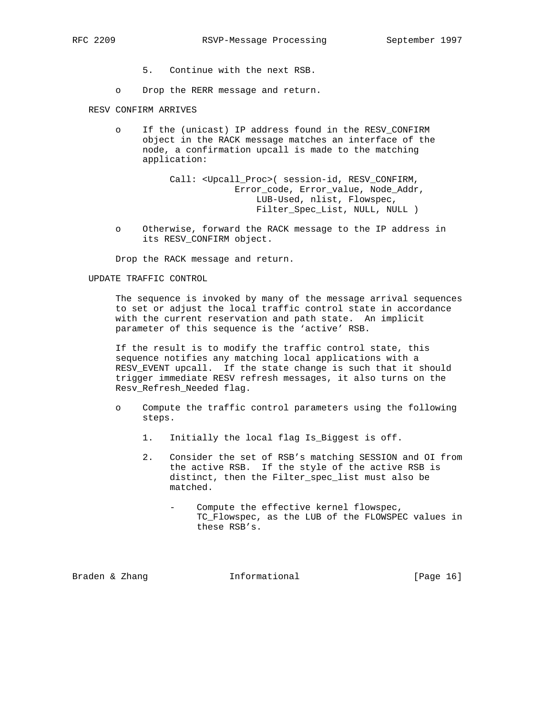- 5. Continue with the next RSB.
- o Drop the RERR message and return.

RESV CONFIRM ARRIVES

 o If the (unicast) IP address found in the RESV\_CONFIRM object in the RACK message matches an interface of the node, a confirmation upcall is made to the matching application:

> Call: <Upcall\_Proc>( session-id, RESV\_CONFIRM, Error\_code, Error\_value, Node\_Addr, LUB-Used, nlist, Flowspec, Filter\_Spec\_List, NULL, NULL )

 o Otherwise, forward the RACK message to the IP address in its RESV\_CONFIRM object.

Drop the RACK message and return.

#### UPDATE TRAFFIC CONTROL

 The sequence is invoked by many of the message arrival sequences to set or adjust the local traffic control state in accordance with the current reservation and path state. An implicit parameter of this sequence is the 'active' RSB.

 If the result is to modify the traffic control state, this sequence notifies any matching local applications with a RESV\_EVENT upcall. If the state change is such that it should trigger immediate RESV refresh messages, it also turns on the Resv\_Refresh\_Needed flag.

- o Compute the traffic control parameters using the following steps.
	- 1. Initially the local flag Is\_Biggest is off.
	- 2. Consider the set of RSB's matching SESSION and OI from the active RSB. If the style of the active RSB is distinct, then the Filter\_spec\_list must also be matched.
		- Compute the effective kernel flowspec, TC\_Flowspec, as the LUB of the FLOWSPEC values in these RSB's.

Braden & Zhang **Informational** [Page 16]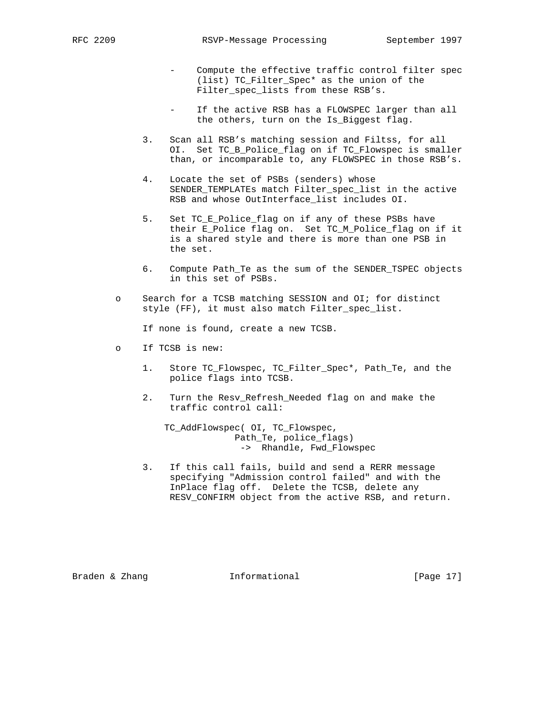- Compute the effective traffic control filter spec (list) TC\_Filter\_Spec\* as the union of the Filter\_spec\_lists from these RSB's.
- If the active RSB has a FLOWSPEC larger than all the others, turn on the Is\_Biggest flag.
- 3. Scan all RSB's matching session and Filtss, for all OI. Set TC\_B\_Police\_flag on if TC\_Flowspec is smaller than, or incomparable to, any FLOWSPEC in those RSB's.
- 4. Locate the set of PSBs (senders) whose SENDER\_TEMPLATEs match Filter\_spec\_list in the active RSB and whose OutInterface\_list includes OI.
- 5. Set TC\_E\_Police\_flag on if any of these PSBs have their E\_Police flag on. Set TC\_M\_Police\_flag on if it is a shared style and there is more than one PSB in the set.
- 6. Compute Path\_Te as the sum of the SENDER\_TSPEC objects in this set of PSBs.
- o Search for a TCSB matching SESSION and OI; for distinct style (FF), it must also match Filter\_spec\_list.

If none is found, create a new TCSB.

- o If TCSB is new:
	- 1. Store TC\_Flowspec, TC\_Filter\_Spec\*, Path\_Te, and the police flags into TCSB.
	- 2. Turn the Resv Refresh Needed flag on and make the traffic control call:

 TC\_AddFlowspec( OI, TC\_Flowspec, Path\_Te, police\_flags) -> Rhandle, Fwd\_Flowspec

 3. If this call fails, build and send a RERR message specifying "Admission control failed" and with the InPlace flag off. Delete the TCSB, delete any RESV\_CONFIRM object from the active RSB, and return.

Braden & Zhang **Informational** [Page 17]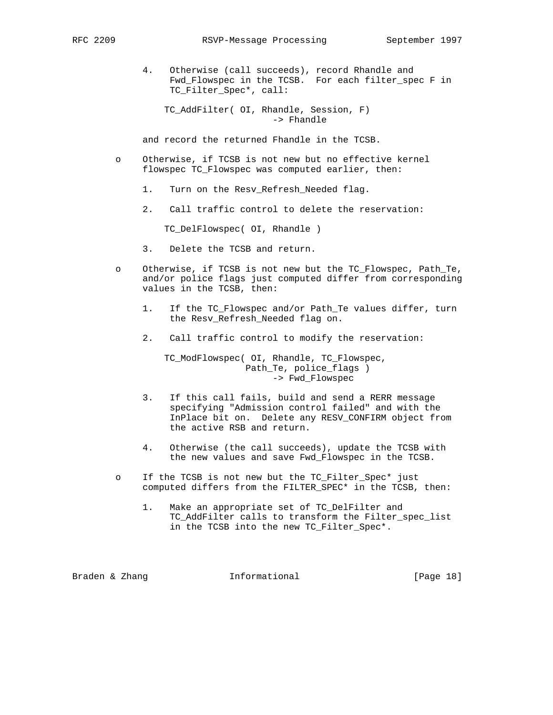4. Otherwise (call succeeds), record Rhandle and Fwd\_Flowspec in the TCSB. For each filter\_spec F in TC\_Filter\_Spec\*, call:

 TC\_AddFilter( OI, Rhandle, Session, F) -> Fhandle

and record the returned Fhandle in the TCSB.

- o Otherwise, if TCSB is not new but no effective kernel flowspec TC\_Flowspec was computed earlier, then:
	- 1. Turn on the Resv\_Refresh\_Needed flag.
	- 2. Call traffic control to delete the reservation:

TC\_DelFlowspec( OI, Rhandle )

- 3. Delete the TCSB and return.
- o Otherwise, if TCSB is not new but the TC\_Flowspec, Path\_Te, and/or police flags just computed differ from corresponding values in the TCSB, then:
	- 1. If the TC\_Flowspec and/or Path\_Te values differ, turn the Resv\_Refresh\_Needed flag on.
	- 2. Call traffic control to modify the reservation:

 TC\_ModFlowspec( OI, Rhandle, TC\_Flowspec, Path\_Te, police\_flags ) -> Fwd\_Flowspec

- 3. If this call fails, build and send a RERR message specifying "Admission control failed" and with the InPlace bit on. Delete any RESV\_CONFIRM object from the active RSB and return.
- 4. Otherwise (the call succeeds), update the TCSB with the new values and save Fwd\_Flowspec in the TCSB.
- o If the TCSB is not new but the TC\_Filter\_Spec\* just computed differs from the FILTER\_SPEC\* in the TCSB, then:
	- 1. Make an appropriate set of TC\_DelFilter and TC\_AddFilter calls to transform the Filter\_spec\_list in the TCSB into the new TC\_Filter\_Spec\*.

Braden & Zhang  $I_n$  Informational [Page 18]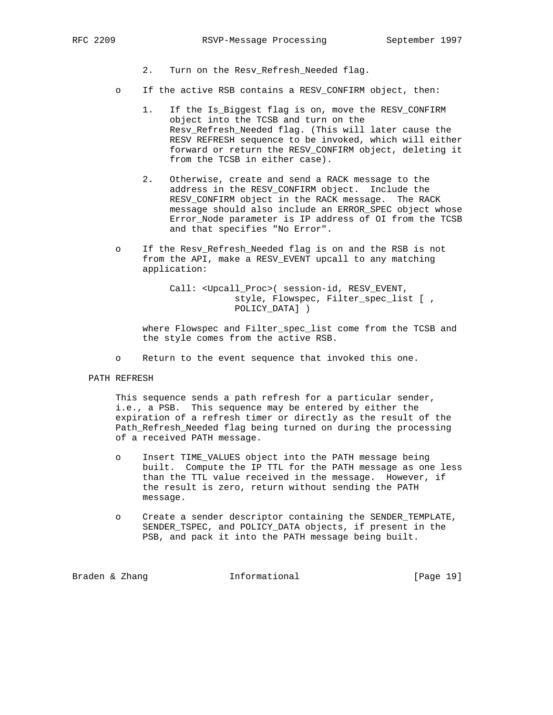- 2. Turn on the Resv\_Refresh\_Needed flag.
- o If the active RSB contains a RESV\_CONFIRM object, then:
	- 1. If the Is\_Biggest flag is on, move the RESV\_CONFIRM object into the TCSB and turn on the Resv\_Refresh\_Needed flag. (This will later cause the RESV REFRESH sequence to be invoked, which will either forward or return the RESV\_CONFIRM object, deleting it from the TCSB in either case).
	- 2. Otherwise, create and send a RACK message to the address in the RESV\_CONFIRM object. Include the RESV\_CONFIRM object in the RACK message. The RACK message should also include an ERROR\_SPEC object whose Error Node parameter is IP address of OI from the TCSB and that specifies "No Error".
- o If the Resv\_Refresh\_Needed flag is on and the RSB is not from the API, make a RESV\_EVENT upcall to any matching application:
	- Call: <Upcall\_Proc>( session-id, RESV\_EVENT, style, Flowspec, Filter\_spec\_list [ , POLICY\_DATA] )

 where Flowspec and Filter\_spec\_list come from the TCSB and the style comes from the active RSB.

- o Return to the event sequence that invoked this one.
- PATH REFRESH

 This sequence sends a path refresh for a particular sender, i.e., a PSB. This sequence may be entered by either the expiration of a refresh timer or directly as the result of the Path\_Refresh\_Needed flag being turned on during the processing of a received PATH message.

- o Insert TIME\_VALUES object into the PATH message being built. Compute the IP TTL for the PATH message as one less than the TTL value received in the message. However, if the result is zero, return without sending the PATH message.
- o Create a sender descriptor containing the SENDER\_TEMPLATE, SENDER\_TSPEC, and POLICY\_DATA objects, if present in the PSB, and pack it into the PATH message being built.

Braden & Zhang **Informational** [Page 19]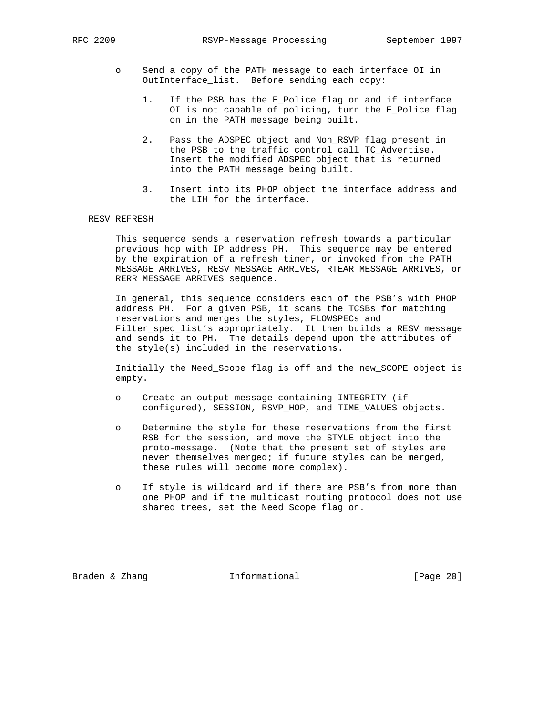- o Send a copy of the PATH message to each interface OI in OutInterface\_list. Before sending each copy:
	- 1. If the PSB has the E\_Police flag on and if interface OI is not capable of policing, turn the E\_Police flag on in the PATH message being built.
	- 2. Pass the ADSPEC object and Non\_RSVP flag present in the PSB to the traffic control call TC\_Advertise. Insert the modified ADSPEC object that is returned into the PATH message being built.
	- 3. Insert into its PHOP object the interface address and the LIH for the interface.

## RESV REFRESH

 This sequence sends a reservation refresh towards a particular previous hop with IP address PH. This sequence may be entered by the expiration of a refresh timer, or invoked from the PATH MESSAGE ARRIVES, RESV MESSAGE ARRIVES, RTEAR MESSAGE ARRIVES, or RERR MESSAGE ARRIVES sequence.

 In general, this sequence considers each of the PSB's with PHOP address PH. For a given PSB, it scans the TCSBs for matching reservations and merges the styles, FLOWSPECs and Filter\_spec\_list's appropriately. It then builds a RESV message and sends it to PH. The details depend upon the attributes of the style(s) included in the reservations.

 Initially the Need\_Scope flag is off and the new\_SCOPE object is empty.

- o Create an output message containing INTEGRITY (if configured), SESSION, RSVP\_HOP, and TIME\_VALUES objects.
- o Determine the style for these reservations from the first RSB for the session, and move the STYLE object into the proto-message. (Note that the present set of styles are never themselves merged; if future styles can be merged, these rules will become more complex).
- o If style is wildcard and if there are PSB's from more than one PHOP and if the multicast routing protocol does not use shared trees, set the Need\_Scope flag on.

Braden & Zhang **Informational** [Page 20]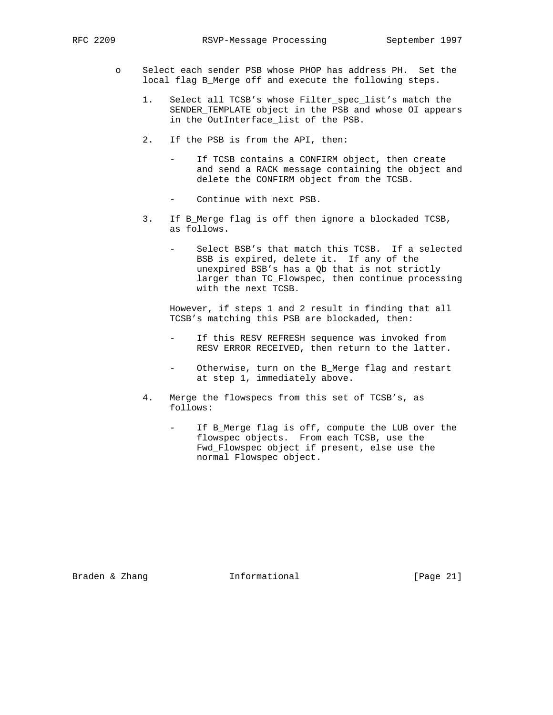- o Select each sender PSB whose PHOP has address PH. Set the local flag B\_Merge off and execute the following steps.
	- 1. Select all TCSB's whose Filter spec list's match the SENDER\_TEMPLATE object in the PSB and whose OI appears in the OutInterface\_list of the PSB.
	- 2. If the PSB is from the API, then:
		- If TCSB contains a CONFIRM object, then create and send a RACK message containing the object and delete the CONFIRM object from the TCSB.
		- Continue with next PSB.
	- 3. If B\_Merge flag is off then ignore a blockaded TCSB, as follows.
		- Select BSB's that match this TCSB. If a selected BSB is expired, delete it. If any of the unexpired BSB's has a Qb that is not strictly larger than TC\_Flowspec, then continue processing with the next TCSB.

 However, if steps 1 and 2 result in finding that all TCSB's matching this PSB are blockaded, then:

- If this RESV REFRESH sequence was invoked from RESV ERROR RECEIVED, then return to the latter.
- Otherwise, turn on the B\_Merge flag and restart at step 1, immediately above.
- 4. Merge the flowspecs from this set of TCSB's, as follows:
	- If B\_Merge flag is off, compute the LUB over the flowspec objects. From each TCSB, use the Fwd\_Flowspec object if present, else use the normal Flowspec object.

Braden & Zhang **Informational** [Page 21]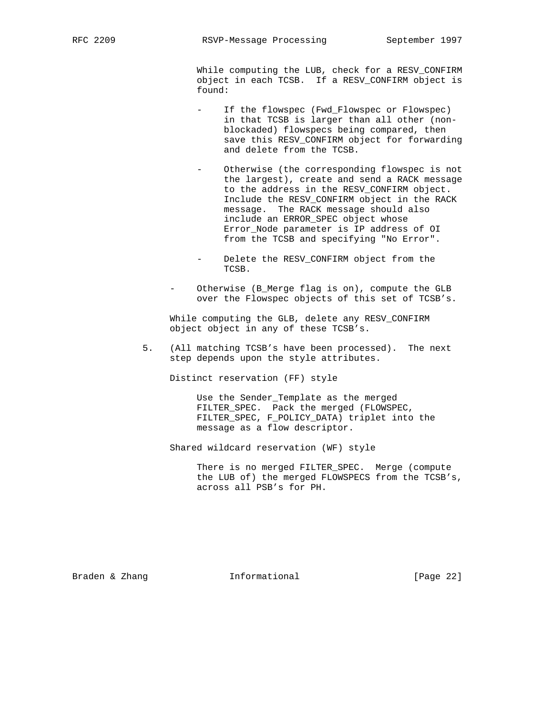While computing the LUB, check for a RESV\_CONFIRM object in each TCSB. If a RESV\_CONFIRM object is found:

- If the flowspec (Fwd\_Flowspec or Flowspec) in that TCSB is larger than all other (non blockaded) flowspecs being compared, then save this RESV\_CONFIRM object for forwarding and delete from the TCSB.
- Otherwise (the corresponding flowspec is not the largest), create and send a RACK message to the address in the RESV\_CONFIRM object. Include the RESV\_CONFIRM object in the RACK message. The RACK message should also include an ERROR\_SPEC object whose Error\_Node parameter is IP address of OI from the TCSB and specifying "No Error".
- Delete the RESV\_CONFIRM object from the TCSB.
- Otherwise (B\_Merge flag is on), compute the GLB over the Flowspec objects of this set of TCSB's.

 While computing the GLB, delete any RESV\_CONFIRM object object in any of these TCSB's.

 5. (All matching TCSB's have been processed). The next step depends upon the style attributes.

Distinct reservation (FF) style

 Use the Sender\_Template as the merged FILTER\_SPEC. Pack the merged (FLOWSPEC, FILTER\_SPEC, F\_POLICY\_DATA) triplet into the message as a flow descriptor.

Shared wildcard reservation (WF) style

 There is no merged FILTER\_SPEC. Merge (compute the LUB of) the merged FLOWSPECS from the TCSB's, across all PSB's for PH.

Braden & Zhang **Informational** [Page 22]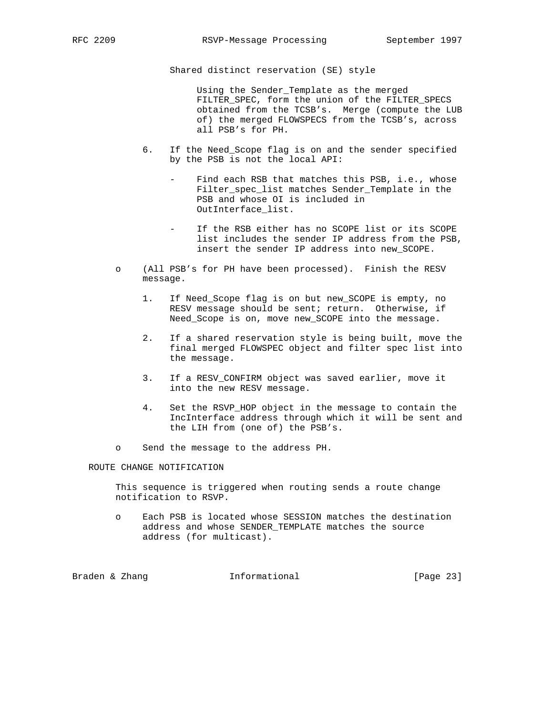Shared distinct reservation (SE) style

 Using the Sender\_Template as the merged FILTER SPEC, form the union of the FILTER SPECS obtained from the TCSB's. Merge (compute the LUB of) the merged FLOWSPECS from the TCSB's, across all PSB's for PH.

- 6. If the Need\_Scope flag is on and the sender specified by the PSB is not the local API:
	- Find each RSB that matches this PSB, i.e., whose Filter spec list matches Sender Template in the PSB and whose OI is included in OutInterface\_list.
	- If the RSB either has no SCOPE list or its SCOPE list includes the sender IP address from the PSB, insert the sender IP address into new\_SCOPE.
- o (All PSB's for PH have been processed). Finish the RESV message.
	- 1. If Need\_Scope flag is on but new\_SCOPE is empty, no RESV message should be sent; return. Otherwise, if Need\_Scope is on, move new\_SCOPE into the message.
	- 2. If a shared reservation style is being built, move the final merged FLOWSPEC object and filter spec list into the message.
	- 3. If a RESV\_CONFIRM object was saved earlier, move it into the new RESV message.
	- 4. Set the RSVP\_HOP object in the message to contain the IncInterface address through which it will be sent and the LIH from (one of) the PSB's.
- o Send the message to the address PH.

ROUTE CHANGE NOTIFICATION

 This sequence is triggered when routing sends a route change notification to RSVP.

 o Each PSB is located whose SESSION matches the destination address and whose SENDER\_TEMPLATE matches the source address (for multicast).

Braden & Zhang **Informational** [Page 23]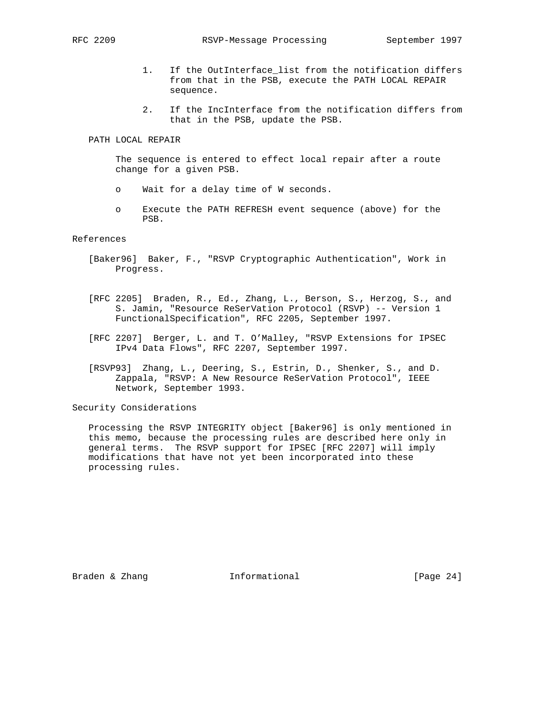- 1. If the OutInterface\_list from the notification differs from that in the PSB, execute the PATH LOCAL REPAIR sequence.
- 2. If the IncInterface from the notification differs from that in the PSB, update the PSB.

#### PATH LOCAL REPAIR

 The sequence is entered to effect local repair after a route change for a given PSB.

- o Wait for a delay time of W seconds.
- o Execute the PATH REFRESH event sequence (above) for the PSB.

## References

- [Baker96] Baker, F., "RSVP Cryptographic Authentication", Work in Progress.
- [RFC 2205] Braden, R., Ed., Zhang, L., Berson, S., Herzog, S., and S. Jamin, "Resource ReSerVation Protocol (RSVP) -- Version 1 FunctionalSpecification", RFC 2205, September 1997.
- [RFC 2207] Berger, L. and T. O'Malley, "RSVP Extensions for IPSEC IPv4 Data Flows", RFC 2207, September 1997.
- [RSVP93] Zhang, L., Deering, S., Estrin, D., Shenker, S., and D. Zappala, "RSVP: A New Resource ReSerVation Protocol", IEEE Network, September 1993.

Security Considerations

 Processing the RSVP INTEGRITY object [Baker96] is only mentioned in this memo, because the processing rules are described here only in general terms. The RSVP support for IPSEC [RFC 2207] will imply modifications that have not yet been incorporated into these processing rules.

Braden & Zhang **Informational** [Page 24]